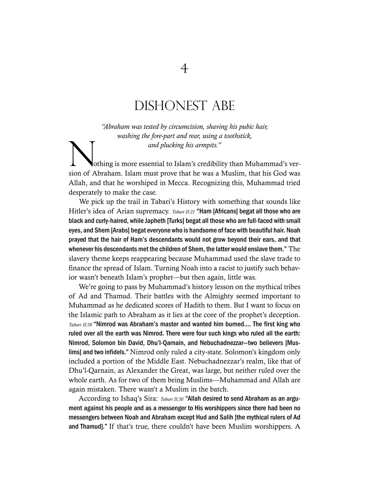## DISHONEST ABE

*"Abraham was tested by circumcision, shaving his pubic hair, washing the fore-part and rear, using a toothstick,*

*and plucking his armpits."*<br>
othing is more essential to Islam's credibility than Muhammad's version of Abraham. Islam must prove that he was a Muslim, that his God was Allah, and that he worshiped in Mecca. Recognizing this, Muhammad tried desperately to make the case.

We pick up the trail in Tabari's History with something that sounds like Hitler's idea of Arian supremacy. *Tabari II:21* "Ham [Africans] begat all those who are black and curly-haired, while Japheth [Turks] begat all those who are full-faced with small eyes, and Shem [Arabs] begat everyone who is handsome of face with beautiful hair. Noah prayed that the hair of Ham's descendants would not grow beyond their ears, and that whenever his descendants met the children of Shem, the latter would enslave them." The slavery theme keeps reappearing because Muhammad used the slave trade to finance the spread of Islam. Turning Noah into a racist to justify such behavior wasn't beneath Islam's prophet—but then again, little was.

We're going to pass by Muhammad's history lesson on the mythical tribes of Ad and Thamud. Their battles with the Almighty seemed important to Muhammad as he dedicated scores of Hadith to them. But I want to focus on the Islamic path to Abraham as it lies at the core of the prophet's deception. *Tabari II:50* "Nimrod was Abraham's master and wanted him burned…. The first king who ruled over all the earth was Nimrod. There were four such kings who ruled all the earth: Nimrod, Solomon bin David, Dhu'l-Qarnain, and Nebuchadnezzar—two believers [Muslims] and two infidels." Nimrod only ruled a city-state. Solomon's kingdom only included a portion of the Middle East. Nebuchadnezzar's realm, like that of Dhu'l-Qarnain, as Alexander the Great, was large, but neither ruled over the whole earth. As for two of them being Muslims—Muhammad and Allah are again mistaken. There wasn't a Muslim in the batch.

According to Ishaq's Sira: *Tabari II:50* "Allah desired to send Abraham as an argument against his people and as a messenger to His worshippers since there had been no messengers between Noah and Abraham except Hud and Salih [the mythical rulers of Ad and Thamud]." If that's true, there couldn't have been Muslim worshippers. A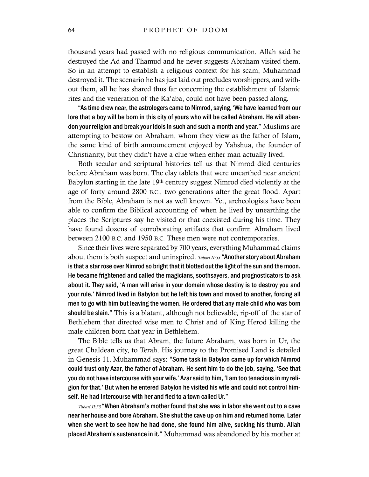thousand years had passed with no religious communication. Allah said he destroyed the Ad and Thamud and he never suggests Abraham visited them. So in an attempt to establish a religious context for his scam, Muhammad destroyed it. The scenario he has just laid out precludes worshippers, and without them, all he has shared thus far concerning the establishment of Islamic rites and the veneration of the Ka'aba, could not have been passed along.

"As time drew near, the astrologers came to Nimrod, saying, 'We have learned from our lore that a boy will be born in this city of yours who will be called Abraham. He will abandon your religion and break your idols in such and such a month and year." Muslims are attempting to bestow on Abraham, whom they view as the father of Islam, the same kind of birth announcement enjoyed by Yahshua, the founder of Christianity, but they didn't have a clue when either man actually lived.

Both secular and scriptural histories tell us that Nimrod died centuries before Abraham was born. The clay tablets that were unearthed near ancient Babylon starting in the late 19th century suggest Nimrod died violently at the age of forty around 2800 B.C., two generations after the great flood. Apart from the Bible, Abraham is not as well known. Yet, archeologists have been able to confirm the Biblical accounting of when he lived by unearthing the places the Scriptures say he visited or that coexisted during his time. They have found dozens of corroborating artifacts that confirm Abraham lived between 2100 B.C. and 1950 B.C. These men were not contemporaries.

Since their lives were separated by 700 years, everything Muhammad claims about them is both suspect and uninspired. *Tabari II:53* "Another story about Abraham is that a star rose over Nimrod so bright that it blotted out the light of the sun and the moon. He became frightened and called the magicians, soothsayers, and prognosticators to ask about it. They said, 'A man will arise in your domain whose destiny is to destroy you and your rule.' Nimrod lived in Babylon but he left his town and moved to another, forcing all men to go with him but leaving the women. He ordered that any male child who was born should be slain." This is a blatant, although not believable, rip-off of the star of Bethlehem that directed wise men to Christ and of King Herod killing the male children born that year in Bethlehem.

The Bible tells us that Abram, the future Abraham, was born in Ur, the great Chaldean city, to Terah. His journey to the Promised Land is detailed in Genesis 11. Muhammad says: "Some task in Babylon came up for which Nimrod could trust only Azar, the father of Abraham. He sent him to do the job, saying, 'See that you do not have intercourse with your wife.' Azar said to him, 'I am too tenacious in my religion for that.' But when he entered Babylon he visited his wife and could not control himself. He had intercourse with her and fled to a town called Ur."

*Tabari II:53* "When Abraham's mother found that she was in labor she went out to a cave near her house and bore Abraham. She shut the cave up on him and returned home. Later when she went to see how he had done, she found him alive, sucking his thumb. Allah placed Abraham's sustenance in it." Muhammad was abandoned by his mother at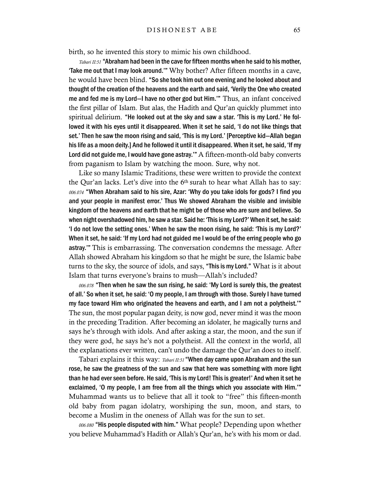birth, so he invented this story to mimic his own childhood.

*Tabari II:51* "Abraham had been in the cave for fifteen months when he said to his mother, 'Take me out that I may look around.'" Why bother? After fifteen months in a cave, he would have been blind. "So she took him out one evening and he looked about and thought of the creation of the heavens and the earth and said, 'Verily the One who created me and fed me is my Lord—I have no other god but Him.'" Thus, an infant conceived the first pillar of Islam. But alas, the Hadith and Qur'an quickly plummet into spiritual delirium. "He looked out at the sky and saw a star. 'This is my Lord.' He followed it with his eyes until it disappeared. When it set he said, 'I do not like things that set.' Then he saw the moon rising and said, 'This is my Lord.' [Perceptive kid—Allah began his life as a moon deity.] And he followed it until it disappeared. When it set, he said, 'If my Lord did not guide me, I would have gone astray.'" A fifteen-month-old baby converts from paganism to Islam by watching the moon. Sure, why not.

Like so many Islamic Traditions, these were written to provide the context the Qur'an lacks. Let's dive into the 6th surah to hear what Allah has to say: *006.074* "When Abraham said to his sire, Azar: 'Why do you take idols for gods? I find you and your people in manifest error.' Thus We showed Abraham the visible and invisible kingdom of the heavens and earth that he might be of those who are sure and believe. So when night overshadowed him, he saw a star. Said he: 'This is my Lord?' When it set, he said: 'I do not love the setting ones.' When he saw the moon rising, he said: 'This is my Lord?' When it set, he said: 'If my Lord had not guided me I would be of the erring people who go astray.'" This is embarrassing. The conversation condemns the message. After Allah showed Abraham his kingdom so that he might be sure, the Islamic babe turns to the sky, the source of idols, and says, "This is my Lord." What is it about Islam that turns everyone's brains to mush—Allah's included?

*006.078* "Then when he saw the sun rising, he said: 'My Lord is surely this, the greatest of all.' So when it set, he said: 'O my people, I am through with those. Surely I have turned my face toward Him who originated the heavens and earth, and I am not a polytheist.'" The sun, the most popular pagan deity, is now god, never mind it was the moon in the preceding Tradition. After becoming an idolater, he magically turns and says he's through with idols. And after asking a star, the moon, and the sun if they were god, he says he's not a polytheist. All the context in the world, all the explanations ever written, can't undo the damage the Qur'an does to itself.

Tabari explains it this way: *Tabari II:51* "When day came upon Abraham and the sun rose, he saw the greatness of the sun and saw that here was something with more light than he had ever seen before. He said, 'This is my Lord! This is greater!' And when it set he exclaimed, 'O my people, I am free from all the things which you associate with Him.'" Muhammad wants us to believe that all it took to "free" this fifteen-month old baby from pagan idolatry, worshiping the sun, moon, and stars, to become a Muslim in the oneness of Allah was for the sun to set.

*006.080* "His people disputed with him." What people? Depending upon whether you believe Muhammad's Hadith or Allah's Qur'an, he's with his mom or dad.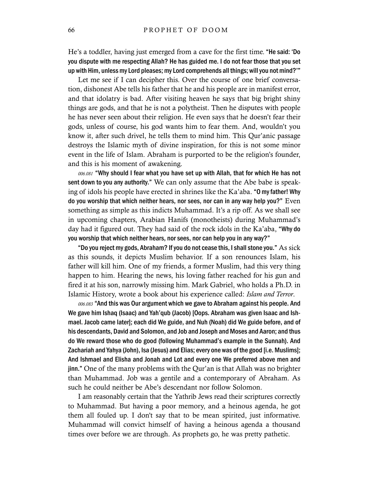He's a toddler, having just emerged from a cave for the first time. "He said: 'Do you dispute with me respecting Allah? He has guided me. I do not fear those that you set up with Him, unless my Lord pleases; my Lord comprehends all things; will you not mind?'"

Let me see if I can decipher this. Over the course of one brief conversation, dishonest Abe tells his father that he and his people are in manifest error, and that idolatry is bad. After visiting heaven he says that big bright shiny things are gods, and that he is not a polytheist. Then he disputes with people he has never seen about their religion. He even says that he doesn't fear their gods, unless of course, his god wants him to fear them. And, wouldn't you know it, after such drivel, he tells them to mind him. This Qur'anic passage destroys the Islamic myth of divine inspiration, for this is not some minor event in the life of Islam. Abraham is purported to be the religion's founder, and this is his moment of awakening.

*006.081* "Why should I fear what you have set up with Allah, that for which He has not sent down to you any authority." We can only assume that the Abe babe is speaking of idols his people have erected in shrines like the Ka'aba. "O my father! Why do you worship that which neither hears, nor sees, nor can in any way help you?" Even something as simple as this indicts Muhammad. It's a rip off. As we shall see in upcoming chapters, Arabian Hanifs (monotheists) during Muhammad's day had it figured out. They had said of the rock idols in the Ka'aba, "Why do you worship that which neither hears, nor sees, nor can help you in any way?"

"Do you reject my gods, Abraham? If you do not cease this, I shall stone you." As sick as this sounds, it depicts Muslim behavior. If a son renounces Islam, his father will kill him. One of my friends, a former Muslim, had this very thing happen to him. Hearing the news, his loving father reached for his gun and fired it at his son, narrowly missing him. Mark Gabriel, who holds a Ph.D. in Islamic History, wrote a book about his experience called: *Islam and Terror*.

*006.083* "And this was Our argument which we gave to Abraham against his people. And We gave him Ishaq (Isaac) and Yah'qub (Jacob) [Oops. Abraham was given Isaac and Ishmael. Jacob came later]; each did We guide, and Nuh (Noah) did We guide before, and of his descendants, David and Solomon, and Job and Joseph and Moses and Aaron; and thus do We reward those who do good (following Muhammad's example in the Sunnah). And Zachariah and Yahya (John), Isa (Jesus) and Elias; every one was of the good [i.e. Muslims]; And Ishmael and Elisha and Jonah and Lot and every one We preferred above men and jinn." One of the many problems with the Qur'an is that Allah was no brighter than Muhammad. Job was a gentile and a contemporary of Abraham. As such he could neither be Abe's descendant nor follow Solomon.

I am reasonably certain that the Yathrib Jews read their scriptures correctly to Muhammad. But having a poor memory, and a heinous agenda, he got them all fouled up. I don't say that to be mean spirited, just informative. Muhammad will convict himself of having a heinous agenda a thousand times over before we are through. As prophets go, he was pretty pathetic.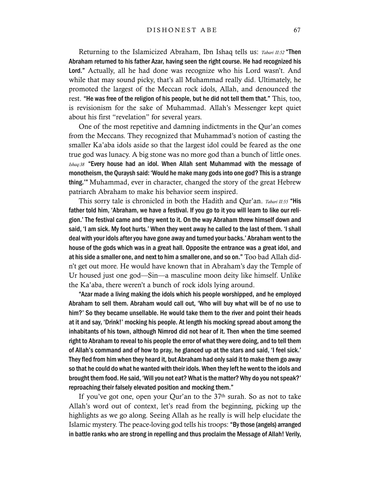Returning to the Islamicized Abraham, Ibn Ishaq tells us: *Tabari II:52* "Then Abraham returned to his father Azar, having seen the right course. He had recognized his Lord." Actually, all he had done was recognize who his Lord wasn't. And while that may sound picky, that's all Muhammad really did. Ultimately, he promoted the largest of the Meccan rock idols, Allah, and denounced the rest. "He was free of the religion of his people, but he did not tell them that." This, too, is revisionism for the sake of Muhammad. Allah's Messenger kept quiet about his first "revelation" for several years.

One of the most repetitive and damning indictments in the Qur'an comes from the Meccans. They recognized that Muhammad's notion of casting the smaller Ka'aba idols aside so that the largest idol could be feared as the one true god was lunacy. A big stone was no more god than a bunch of little ones. *Ishaq:38* "Every house had an idol. When Allah sent Muhammad with the message of monotheism, the Quraysh said: 'Would he make many gods into one god? This is a strange thing.'" Muhammad, ever in character, changed the story of the great Hebrew patriarch Abraham to make his behavior seem inspired.

This sorry tale is chronicled in both the Hadith and Qur'an. *Tabari II:55* "His father told him, 'Abraham, we have a festival. If you go to it you will learn to like our religion.' The festival came and they went to it. On the way Abraham threw himself down and said, 'I am sick. My foot hurts.' When they went away he called to the last of them. 'I shall deal with your idols after you have gone away and turned your backs.' Abraham went to the house of the gods which was in a great hall. Opposite the entrance was a great idol, and at his side a smaller one, and next to him a smaller one, and so on." Too bad Allah didn't get out more. He would have known that in Abraham's day the Temple of Ur housed just one god—Sin—a masculine moon deity like himself. Unlike the Ka'aba, there weren't a bunch of rock idols lying around.

"Azar made a living making the idols which his people worshipped, and he employed Abraham to sell them. Abraham would call out, 'Who will buy what will be of no use to him?' So they became unsellable. He would take them to the river and point their heads at it and say, 'Drink!' mocking his people. At length his mocking spread about among the inhabitants of his town, although Nimrod did not hear of it. Then when the time seemed right to Abraham to reveal to his people the error of what they were doing, and to tell them of Allah's command and of how to pray, he glanced up at the stars and said, 'I feel sick.' They fled from him when they heard it, but Abraham had only said it to make them go away so that he could do what he wanted with their idols. When they left he went to the idols and brought them food. He said, 'Will you not eat? What is the matter? Why do you not speak?' reproaching their falsely elevated position and mocking them."

If you've got one, open your Qur'an to the  $37<sup>th</sup>$  surah. So as not to take Allah's word out of context, let's read from the beginning, picking up the highlights as we go along. Seeing Allah as he really is will help elucidate the Islamic mystery. The peace-loving god tells his troops: "By those (angels) arranged in battle ranks who are strong in repelling and thus proclaim the Message of Allah! Verily,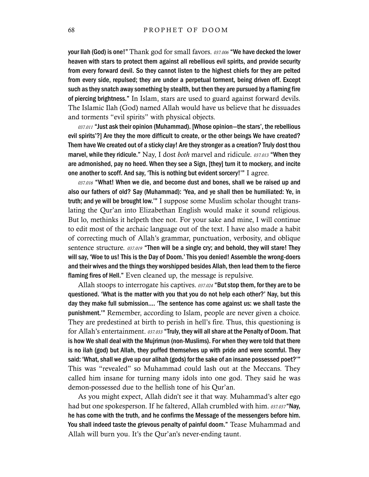your Ilah (God) is one!" Thank god for small favors. *037.006* "We have decked the lower heaven with stars to protect them against all rebellious evil spirits, and provide security from every forward devil. So they cannot listen to the highest chiefs for they are pelted from every side, repulsed; they are under a perpetual torment, being driven off. Except such as they snatch away something by stealth, but then they are pursued by a flaming fire of piercing brightness." In Islam, stars are used to guard against forward devils. The Islamic Ilah (God) named Allah would have us believe that he dissuades and torments "evil spirits" with physical objects.

*037.011* "Just ask their opinion (Muhammad). [Whose opinion—the stars', the rebellious evil spirits'?] Are they the more difficult to create, or the other beings We have created? Them have We created out of a sticky clay! Are they stronger as a creation? Truly dost thou marvel, while they ridicule." Nay, I dost *both* marvel and ridicule. *037.013* "When they are admonished, pay no heed. When they see a Sign, [they] turn it to mockery, and incite one another to scoff. And say, 'This is nothing but evident sorcery!'" I agree.

*037.016* "What! When we die, and become dust and bones, shall we be raised up and also our fathers of old? Say (Muhammad): 'Yea, and ye shall then be humiliated: Ye, in truth; and ye will be brought low.'" I suppose some Muslim scholar thought translating the Qur'an into Elizabethan English would make it sound religious. But lo, methinks it helpeth thee not. For your sake and mine, I will continue to edit most of the archaic language out of the text. I have also made a habit of correcting much of Allah's grammar, punctuation, verbosity, and oblique sentence structure. *037.019* "Then will be a single cry; and behold, they will stare! They will say, 'Woe to us! This is the Day of Doom.' This you denied! Assemble the wrong-doers and their wives and the things they worshipped besides Allah, then lead them to the fierce flaming fires of Hell." Even cleaned up, the message is repulsive.

Allah stoops to interrogate his captives. *037.024* "But stop them, for they are to be questioned. 'What is the matter with you that you do not help each other?' Nay, but this day they make full submission.... 'The sentence has come against us: we shall taste the punishment.'" Remember, according to Islam, people are never given a choice. They are predestined at birth to perish in hell's fire. Thus, this questioning is for Allah's entertainment. *037.033* "Truly, they will all share at the Penalty of Doom. That is how We shall deal with the Mujrimun (non-Muslims). For when they were told that there is no ilah (god) but Allah, they puffed themselves up with pride and were scornful. They said: 'What, shall we give up our alihah (gods) for the sake of an insane possessed poet?'" This was "revealed" so Muhammad could lash out at the Meccans. They called him insane for turning many idols into one god. They said he was demon-possessed due to the hellish tone of his Qur'an.

As you might expect, Allah didn't see it that way. Muhammad's alter ego had but one spokesperson. If he faltered, Allah crumbled with him. *037.037* "Nay, he has come with the truth, and he confirms the Message of the messengers before him. You shall indeed taste the grievous penalty of painful doom." Tease Muhammad and Allah will burn you. It's the Qur'an's never-ending taunt.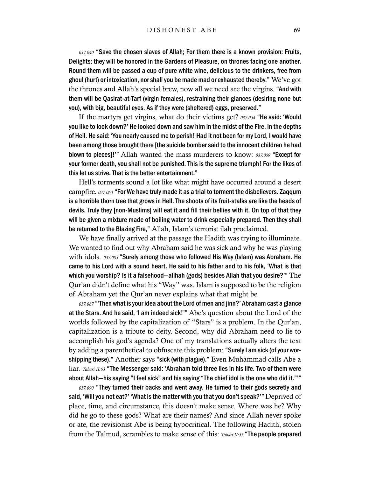*037.040* "Save the chosen slaves of Allah; For them there is a known provision: Fruits, Delights; they will be honored in the Gardens of Pleasure, on thrones facing one another. Round them will be passed a cup of pure white wine, delicious to the drinkers, free from ghoul (hurt) or intoxication, nor shall you be made mad or exhausted thereby." We've got the thrones and Allah's special brew, now all we need are the virgins. "And with them will be Qasirat-at-Tarf (virgin females), restraining their glances (desiring none but you), with big, beautiful eyes. As if they were (sheltered) eggs, preserved."

If the martyrs get virgins, what do their victims get? *037.054* "He said: 'Would you like to look down?' He looked down and saw him in the midst of the Fire, in the depths of Hell. He said: 'You nearly caused me to perish! Had it not been for my Lord, I would have been among those brought there [the suicide bomber said to the innocent children he had blown to pieces]!'" Allah wanted the mass murderers to know: *037.059* "Except for your former death, you shall not be punished. This is the supreme triumph! For the likes of this let us strive. That is the better entertainment."

Hell's torments sound a lot like what might have occurred around a desert campfire. *037.063* "For We have truly made it as a trial to torment the disbelievers. Zaqqum is a horrible thorn tree that grows in Hell. The shoots of its fruit-stalks are like the heads of devils. Truly they [non-Muslims] will eat it and fill their bellies with it. On top of that they will be given a mixture made of boiling water to drink especially prepared. Then they shall be returned to the Blazing Fire," Allah, Islam's terrorist ilah proclaimed.

We have finally arrived at the passage the Hadith was trying to illuminate. We wanted to find out why Abraham said he was sick and why he was playing with idols. *037.083* "Surely among those who followed His Way (Islam) was Abraham. He came to his Lord with a sound heart. He said to his father and to his folk, 'What is that which you worship? Is it a falsehood—alihah (gods) besides Allah that you desire?" The Qur'an didn't define what his "Way" was. Islam is supposed to be the religion of Abraham yet the Qur'an never explains what that might be.

*037.087* "'Then what is your idea about the Lord of men and jinn?' Abraham cast a glance at the Stars. And he said, 'I am indeed sick!'" Abe's question about the Lord of the worlds followed by the capitalization of "Stars" is a problem. In the Qur'an, capitalization is a tribute to deity. Second, why did Abraham need to lie to accomplish his god's agenda? One of my translations actually alters the text by adding a parenthetical to obfuscate this problem: "Surely I am sick (of your worshipping these)." Another says "sick (with plague)." Even Muhammad calls Abe a liar. *Tabari II:63* "The Messenger said: 'Abraham told three lies in his life. Two of them were about Allah—his saying "I feel sick" and his saying "The chief idol is the one who did it."'"

*037.090* "They turned their backs and went away. He turned to their gods secretly and said, 'Will you not eat?' 'What is the matter with you that you don't speak?'" Deprived of place, time, and circumstance, this doesn't make sense. Where was he? Why did he go to these gods? What are their names? And since Allah never spoke or ate, the revisionist Abe is being hypocritical. The following Hadith, stolen from the Talmud, scrambles to make sense of this: *Tabari II:55* "The people prepared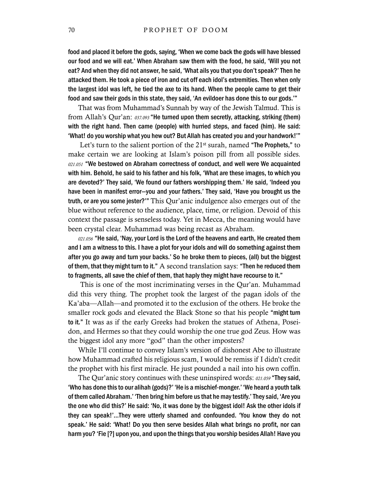food and placed it before the gods, saying, 'When we come back the gods will have blessed our food and we will eat.' When Abraham saw them with the food, he said, 'Will you not eat? And when they did not answer, he said, 'What ails you that you don't speak?' Then he attacked them. He took a piece of iron and cut off each idol's extremities. Then when only the largest idol was left, he tied the axe to its hand. When the people came to get their food and saw their gods in this state, they said, 'An evildoer has done this to our gods.'"

That was from Muhammad's Sunnah by way of the Jewish Talmud. This is from Allah's Qur'an: *037.093* "He turned upon them secretly, attacking, striking (them) with the right hand. Then came (people) with hurried steps, and faced (him). He said: 'What! do you worship what you hew out? But Allah has created you and your handwork!'"

Let's turn to the salient portion of the  $21<sup>st</sup>$  surah, named "The Prophets," to make certain we are looking at Islam's poison pill from all possible sides. *021.051* "We bestowed on Abraham correctness of conduct, and well were We acquainted with him. Behold, he said to his father and his folk, 'What are these images, to which you are devoted?' They said, 'We found our fathers worshipping them.' He said, 'Indeed you have been in manifest error—you and your fathers.' They said, 'Have you brought us the truth, or are you some jester?'" This Qur'anic indulgence also emerges out of the blue without reference to the audience, place, time, or religion. Devoid of this context the passage is senseless today. Yet in Mecca, the meaning would have been crystal clear. Muhammad was being recast as Abraham.

*021.056* "He said, 'Nay, your Lord is the Lord of the heavens and earth, He created them and I am a witness to this. I have a plot for your idols and will do something against them after you go away and turn your backs.' So he broke them to pieces, (all) but the biggest of them, that they might turn to it." A second translation says: "Then he reduced them to fragments, all save the chief of them, that haply they might have recourse to it."

This is one of the most incriminating verses in the Qur'an. Muhammad did this very thing. The prophet took the largest of the pagan idols of the Ka'aba—Allah—and promoted it to the exclusion of the others. He broke the smaller rock gods and elevated the Black Stone so that his people "might turn to it." It was as if the early Greeks had broken the statues of Athena, Poseidon, and Hermes so that they could worship the one true god Zeus. How was the biggest idol any more "god" than the other imposters?

While I'll continue to convey Islam's version of dishonest Abe to illustrate how Muhammad crafted his religious scam, I would be remiss if I didn't credit the prophet with his first miracle. He just pounded a nail into his own coffin.

The Qur'anic story continues with these uninspired words: *021.059* "They said, 'Who has done this to our alihah (gods)?' 'He is a mischief-monger.' 'We heard a youth talk of them called Abraham.' 'Then bring him before us that he may testify.' They said, 'Are you the one who did this?' He said: 'No, it was done by the biggest idol! Ask the other idols if they can speak!'…They were utterly shamed and confounded. 'You know they do not speak.' He said: 'What! Do you then serve besides Allah what brings no profit, nor can harm you? 'Fie [?] upon you, and upon the things that you worship besides Allah! Have you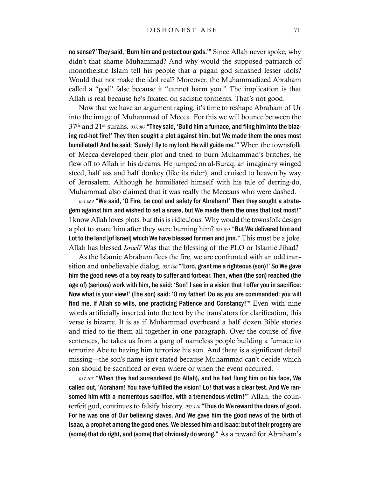no sense?' They said, 'Burn him and protect our gods.'" Since Allah never spoke, why didn't that shame Muhammad? And why would the supposed patriarch of monotheistic Islam tell his people that a pagan god smashed lesser idols? Would that not make the idol real? Moreover, the Muhammadized Abraham called a "god" false because it "cannot harm you." The implication is that Allah is real because he's fixated on sadistic torments. That's not good.

Now that we have an argument raging, it's time to reshape Abraham of Ur into the image of Muhammad of Mecca. For this we will bounce between the 37th and 21st surahs. *037.097* "They said, 'Build him a furnace, and fling him into the blazing red-hot fire!' They then sought a plot against him, but We made them the ones most humiliated! And he said: 'Surely I fly to my lord; He will guide me.'" When the townsfolk of Mecca developed their plot and tried to burn Muhammad's britches, he flew off to Allah in his dreams. He jumped on al-Buraq, an imaginary winged steed, half ass and half donkey (like its rider), and cruised to heaven by way of Jerusalem. Although he humiliated himself with his tale of derring-do, Muhammad also claimed that it was really the Meccans who were dashed.

*021.069* "We said, 'O Fire, be cool and safety for Abraham!' Then they sought a stratagem against him and wished to set a snare, but We made them the ones that lost most!" I know Allah loves plots, but this is ridiculous. Why would the townsfolk design a plot to snare him after they were burning him? *021.071* "But We delivered him and Lot to the land [of Israel] which We have blessed for men and jinn." This must be a joke. Allah has blessed *Israel?* Was that the blessing of the PLO or Islamic Jihad?

As the Islamic Abraham flees the fire, we are confronted with an odd transition and unbelievable dialog. *037.100* "'Lord, grant me a righteous (son)!' So We gave him the good news of a boy ready to suffer and forbear. Then, when (the son) reached (the age of) (serious) work with him, he said: 'Son! I see in a vision that I offer you in sacrifice: Now what is your view!' (The son) said: 'O my father! Do as you are commanded: you will find me, if Allah so wills, one practicing Patience and Constancy!'" Even with nine words artificially inserted into the text by the translators for clarification, this verse is bizarre. It is as if Muhammad overheard a half dozen Bible stories and tried to tie them all together in one paragraph. Over the course of five sentences, he takes us from a gang of nameless people building a furnace to terrorize Abe to having him terrorize his son. And there is a significant detail missing—the son's name isn't stated because Muhammad can't decide which son should be sacrificed or even where or when the event occurred.

*037.103* "When they had surrendered (to Allah), and he had flung him on his face, We called out, 'Abraham! You have fulfilled the vision! Lo! that was a clear test. And We ransomed him with a momentous sacrifice, with a tremendous victim!"" Allah, the counterfeit god, continues to falsify history. *037.110* "Thus do We reward the doers of good. For he was one of Our believing slaves. And We gave him the good news of the birth of Isaac, a prophet among the good ones. We blessed him and Isaac: but of their progeny are (some) that do right, and (some) that obviously do wrong." As a reward for Abraham's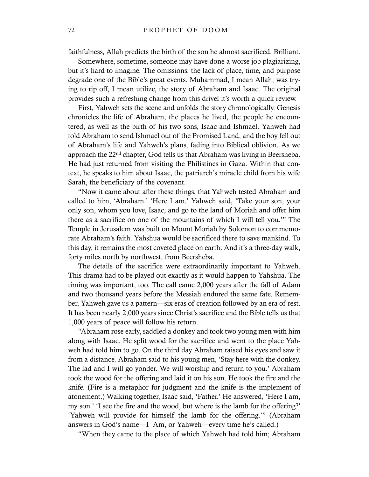faithfulness, Allah predicts the birth of the son he almost sacrificed. Brilliant.

Somewhere, sometime, someone may have done a worse job plagiarizing, but it's hard to imagine. The omissions, the lack of place, time, and purpose degrade one of the Bible's great events. Muhammad, I mean Allah, was trying to rip off, I mean utilize, the story of Abraham and Isaac. The original provides such a refreshing change from this drivel it's worth a quick review.

First, Yahweh sets the scene and unfolds the story chronologically. Genesis chronicles the life of Abraham, the places he lived, the people he encountered, as well as the birth of his two sons, Isaac and Ishmael. Yahweh had told Abraham to send Ishmael out of the Promised Land, and the boy fell out of Abraham's life and Yahweh's plans, fading into Biblical oblivion. As we approach the 22nd chapter, God tells us that Abraham was living in Beersheba. He had just returned from visiting the Philistines in Gaza. Within that context, he speaks to him about Isaac, the patriarch's miracle child from his wife Sarah, the beneficiary of the covenant.

"Now it came about after these things, that Yahweh tested Abraham and called to him, 'Abraham.' 'Here I am.' Yahweh said, 'Take your son, your only son, whom you love, Isaac, and go to the land of Moriah and offer him there as a sacrifice on one of the mountains of which I will tell you.'" The Temple in Jerusalem was built on Mount Moriah by Solomon to commemorate Abraham's faith. Yahshua would be sacrificed there to save mankind. To this day, it remains the most coveted place on earth. And it's a three-day walk, forty miles north by northwest, from Beersheba.

The details of the sacrifice were extraordinarily important to Yahweh. This drama had to be played out exactly as it would happen to Yahshua. The timing was important, too. The call came 2,000 years after the fall of Adam and two thousand years before the Messiah endured the same fate. Remember, Yahweh gave us a pattern—six eras of creation followed by an era of rest. It has been nearly 2,000 years since Christ's sacrifice and the Bible tells us that 1,000 years of peace will follow his return.

"Abraham rose early, saddled a donkey and took two young men with him along with Isaac. He split wood for the sacrifice and went to the place Yahweh had told him to go. On the third day Abraham raised his eyes and saw it from a distance. Abraham said to his young men, 'Stay here with the donkey. The lad and I will go yonder. We will worship and return to you.' Abraham took the wood for the offering and laid it on his son. He took the fire and the knife. (Fire is a metaphor for judgment and the knife is the implement of atonement.) Walking together, Isaac said, 'Father.' He answered, 'Here I am, my son.' 'I see the fire and the wood, but where is the lamb for the offering?' 'Yahweh will provide for himself the lamb for the offering.'" (Abraham answers in God's name—I Am, or Yahweh—every time he's called.)

"When they came to the place of which Yahweh had told him; Abraham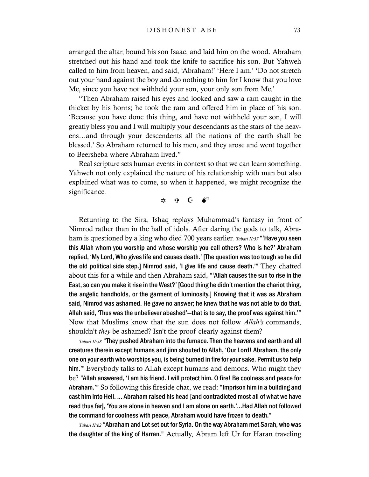arranged the altar, bound his son Isaac, and laid him on the wood. Abraham stretched out his hand and took the knife to sacrifice his son. But Yahweh called to him from heaven, and said, 'Abraham!' 'Here I am.' 'Do not stretch out your hand against the boy and do nothing to him for I know that you love Me, since you have not withheld your son, your only son from Me.'

"Then Abraham raised his eyes and looked and saw a ram caught in the thicket by his horns; he took the ram and offered him in place of his son. 'Because you have done this thing, and have not withheld your son, I will greatly bless you and I will multiply your descendants as the stars of the heavens…and through your descendents all the nations of the earth shall be blessed.' So Abraham returned to his men, and they arose and went together to Beersheba where Abraham lived."

Real scripture sets human events in context so that we can learn something. Yahweh not only explained the nature of his relationship with man but also explained what was to come, so when it happened, we might recognize the significance.

@ = A 0

Returning to the Sira, Ishaq replays Muhammad's fantasy in front of Nimrod rather than in the hall of idols. After daring the gods to talk, Abraham is questioned by a king who died 700 years earlier. *Tabari II:57* "'Have you seen this Allah whom you worship and whose worship you call others? Who is he?' Abraham replied, 'My Lord, Who gives life and causes death.' [The question was too tough so he did the old political side step.] Nimrod said, 'I give life and cause death.'" They chatted about this for a while and then Abraham said, "'Allah causes the sun to rise in the East, so can you make it rise in the West?' [Good thing he didn't mention the chariot thing, the angelic handholds, or the garment of luminosity.] Knowing that it was as Abraham said, Nimrod was ashamed. He gave no answer; he knew that he was not able to do that. Allah said, 'Thus was the unbeliever abashed'—that is to say, the proof was against him.'" Now that Muslims know that the sun does not follow *Allah's* commands, shouldn't *they* be ashamed? Isn't the proof clearly against them?

*Tabari II:58* "They pushed Abraham into the furnace. Then the heavens and earth and all creatures therein except humans and jinn shouted to Allah, 'Our Lord! Abraham, the only one on your earth who worships you, is being burned in fire for your sake. Permit us to help him.'" Everybody talks to Allah except humans and demons. Who might they be? "Allah answered, 'I am his friend. I will protect him. O fire! Be coolness and peace for Abraham.'" So following this fireside chat, we read: "Imprison him in a building and cast him into Hell. … Abraham raised his head [and contradicted most all of what we have read thus far], 'You are alone in heaven and I am alone on earth.'…Had Allah not followed the command for coolness with peace, Abraham would have frozen to death."

*Tabari II:62* "Abraham and Lot set out for Syria. On the way Abraham met Sarah, who was the daughter of the king of Harran." Actually, Abram left Ur for Haran traveling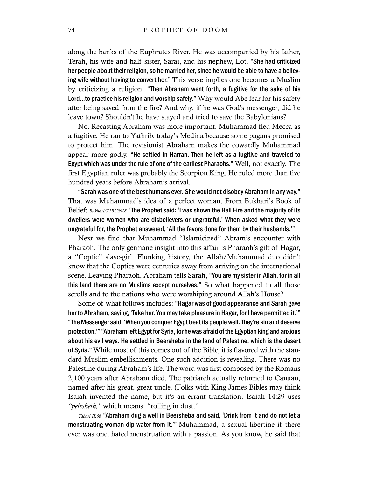along the banks of the Euphrates River. He was accompanied by his father, Terah, his wife and half sister, Sarai, and his nephew, Lot. "She had criticized her people about their religion, so he married her, since he would be able to have a believing wife without having to convert her." This verse implies one becomes a Muslim by criticizing a religion. "Then Abraham went forth, a fugitive for the sake of his Lord…to practice his religion and worship safely." Why would Abe fear for his safety after being saved from the fire? And why, if he was God's messenger, did he leave town? Shouldn't he have stayed and tried to save the Babylonians?

No. Recasting Abraham was more important. Muhammad fled Mecca as a fugitive. He ran to Yathrib, today's Medina because some pagans promised to protect him. The revisionist Abraham makes the cowardly Muhammad appear more godly. "He settled in Harran. Then he left as a fugitive and traveled to Egypt which was under the rule of one of the earliest Pharaohs." Well, not exactly. The first Egyptian ruler was probably the Scorpion King. He ruled more than five hundred years before Abraham's arrival.

"Sarah was one of the best humans ever. She would not disobey Abraham in any way." That was Muhammad's idea of a perfect woman. From Bukhari's Book of Belief: *Bukhari:V1B22N28* "The Prophet said: 'I was shown the Hell Fire and the majority of its dwellers were women who are disbelievers or ungrateful.' When asked what they were ungrateful for, the Prophet answered, 'All the favors done for them by their husbands.'"

Next we find that Muhammad "Islamicized" Abram's encounter with Pharaoh. The only germane insight into this affair is Pharaoh's gift of Hagar, a "Coptic" slave-girl. Flunking history, the Allah/Muhammad duo didn't know that the Coptics were centuries away from arriving on the international scene. Leaving Pharaoh, Abraham tells Sarah, "You are my sister in Allah, for in all this land there are no Muslims except ourselves." So what happened to all those scrolls and to the nations who were worshiping around Allah's House?

Some of what follows includes: "Hagar was of good appearance and Sarah gave her to Abraham, saying, 'Take her. You may take pleasure in Hagar, for I have permitted it.'" "The Messenger said, 'When you conquer Egypt treat its people well. They're kin and deserve protection.'" "Abraham left Egypt for Syria, for he was afraid of the Egyptian king and anxious about his evil ways. He settled in Beersheba in the land of Palestine, which is the desert of Syria." While most of this comes out of the Bible, it is flavored with the standard Muslim embellishments. One such addition is revealing. There was no Palestine during Abraham's life. The word was first composed by the Romans 2,100 years after Abraham died. The patriarch actually returned to Canaan, named after his great, great uncle. (Folks with King James Bibles may think Isaiah invented the name, but it's an errant translation. Isaiah 14:29 uses *"pelesheth,"* which means: "rolling in dust."

*Tabari II:66* "Abraham dug a well in Beersheba and said, 'Drink from it and do not let a menstruating woman dip water from it.'" Muhammad, a sexual libertine if there ever was one, hated menstruation with a passion. As you know, he said that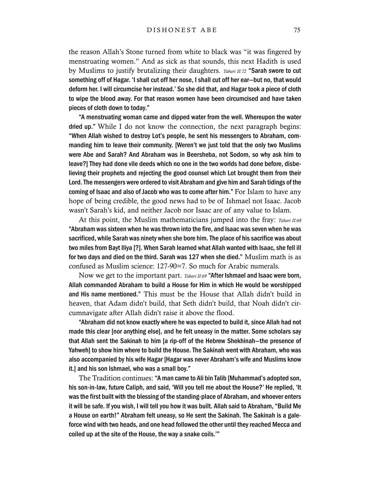the reason Allah's Stone turned from white to black was "it was fingered by menstruating women." And as sick as that sounds, this next Hadith is used by Muslims to justify brutalizing their daughters. *Tabari II:72* "Sarah swore to cut something off of Hagar. 'I shall cut off her nose, I shall cut off her ear—but no, that would deform her. I will circumcise her instead.' So she did that, and Hagar took a piece of cloth to wipe the blood away. For that reason women have been circumcised and have taken pieces of cloth down to today."

"A menstruating woman came and dipped water from the well. Whereupon the water dried up." While I do not know the connection, the next paragraph begins: "When Allah wished to destroy Lot's people, he sent his messengers to Abraham, commanding him to leave their community. [Weren't we just told that the only two Muslims were Abe and Sarah? And Abraham was in Beersheba, not Sodom, so why ask him to leave?] They had done vile deeds which no one in the two worlds had done before, disbelieving their prophets and rejecting the good counsel which Lot brought them from their Lord. The messengers were ordered to visit Abraham and give him and Sarah tidings of the coming of Isaac and also of Jacob who was to come after him." For Islam to have any hope of being credible, the good news had to be of Ishmael not Isaac. Jacob wasn't Sarah's kid, and neither Jacob nor Isaac are of any value to Islam.

At this point, the Muslim mathematicians jumped into the fray: *Tabari II:68* "Abraham was sixteen when he was thrown into the fire, and Isaac was seven when he was sacrificed, while Sarah was ninety when she bore him. The place of his sacrifice was about two miles from Bayt Iliya [?]. When Sarah learned what Allah wanted with Isaac, she fell ill for two days and died on the third. Sarah was 127 when she died." Muslim math is as confused as Muslim science: 127-90=7. So much for Arabic numerals.

Now we get to the important part. *Tabari II:69* "After Ishmael and Isaac were born, Allah commanded Abraham to build a House for Him in which He would be worshipped and His name mentioned." This must be the House that Allah didn't build in heaven, that Adam didn't build, that Seth didn't build, that Noah didn't circumnavigate after Allah didn't raise it above the flood.

"Abraham did not know exactly where he was expected to build it, since Allah had not made this clear [nor anything else], and he felt uneasy in the matter. Some scholars say that Allah sent the Sakinah to him [a rip-off of the Hebrew Shekhinah—the presence of Yahweh] to show him where to build the House. The Sakinah went with Abraham, who was also accompanied by his wife Hagar [Hagar was never Abraham's wife and Muslims know it.] and his son Ishmael, who was a small boy."

The Tradition continues: "A man came to Ali bin Talib [Muhammad's adopted son, his son-in-law, future Caliph, and said, 'Will you tell me about the House?' He replied, 'It was the first built with the blessing of the standing-place of Abraham, and whoever enters it will be safe. If you wish, I will tell you how it was built. Allah said to Abraham, "Build Me a House on earth!" Abraham felt uneasy, so He sent the Sakinah. The Sakinah is a galeforce wind with two heads, and one head followed the other until they reached Mecca and coiled up at the site of the House, the way a snake coils.'"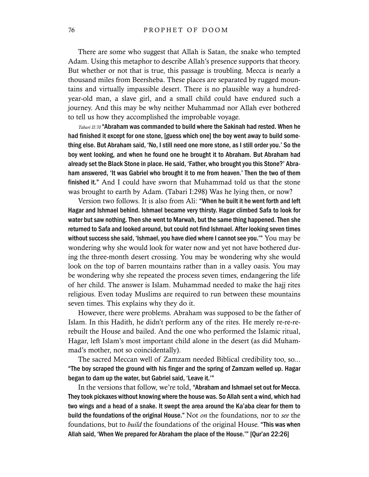There are some who suggest that Allah is Satan, the snake who tempted Adam. Using this metaphor to describe Allah's presence supports that theory. But whether or not that is true, this passage is troubling. Mecca is nearly a thousand miles from Beersheba. These places are separated by rugged mountains and virtually impassible desert. There is no plausible way a hundredyear-old man, a slave girl, and a small child could have endured such a journey. And this may be why neither Muhammad nor Allah ever bothered to tell us how they accomplished the improbable voyage.

*Tabari II:70* "Abraham was commanded to build where the Sakinah had rested. When he had finished it except for one stone, [guess which one] the boy went away to build something else. But Abraham said, 'No, I still need one more stone, as I still order you.' So the boy went looking, and when he found one he brought it to Abraham. But Abraham had already set the Black Stone in place. He said, 'Father, who brought you this Stone?' Abraham answered, 'It was Gabriel who brought it to me from heaven.' Then the two of them finished it." And I could have sworn that Muhammad told us that the stone was brought to earth by Adam. (Tabari I:298) Was he lying then, or now?

Version two follows. It is also from Ali: "When he built it he went forth and left Hagar and Ishmael behind. Ishmael became very thirsty. Hagar climbed Safa to look for water but saw nothing. Then she went to Marwah, but the same thing happened. Then she returned to Safa and looked around, but could not find Ishmael. After looking seven times without success she said, 'Ishmael, you have died where I cannot see you.'" You may be wondering why she would look for water now and yet not have bothered during the three-month desert crossing. You may be wondering why she would look on the top of barren mountains rather than in a valley oasis. You may be wondering why she repeated the process seven times, endangering the life of her child. The answer is Islam. Muhammad needed to make the hajj rites religious. Even today Muslims are required to run between these mountains seven times. This explains why they do it.

However, there were problems. Abraham was supposed to be the father of Islam. In this Hadith, he didn't perform any of the rites. He merely re-re-rerebuilt the House and bailed. And the one who performed the Islamic ritual, Hagar, left Islam's most important child alone in the desert (as did Muhammad's mother, not so coincidentally).

The sacred Meccan well of Zamzam needed Biblical credibility too, so... "The boy scraped the ground with his finger and the spring of Zamzam welled up. Hagar began to dam up the water, but Gabriel said, 'Leave it.'"

In the versions that follow, we're told, "Abraham and Ishmael set out for Mecca. They took pickaxes without knowing where the house was. So Allah sent a wind, which had two wings and a head of a snake. It swept the area around the Ka'aba clear for them to build the foundations of the original House." Not *on* the foundations, nor to *see* the foundations, but to *build* the foundations of the original House."This was when Allah said, 'When We prepared for Abraham the place of the House.'" [Qur'an 22:26]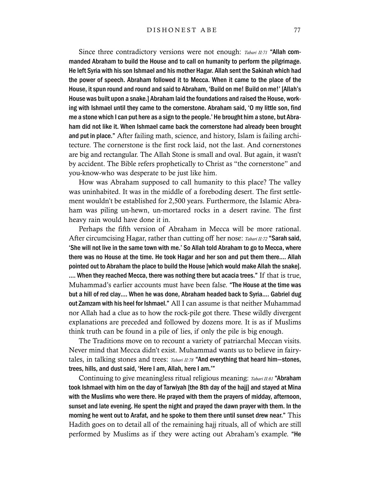Since three contradictory versions were not enough: *Tabari II:71* "Allah commanded Abraham to build the House and to call on humanity to perform the pilgrimage. He left Syria with his son Ishmael and his mother Hagar. Allah sent the Sakinah which had the power of speech. Abraham followed it to Mecca. When it came to the place of the House, it spun round and round and said to Abraham, 'Build on me! Build on me!' [Allah's House was built upon a snake.] Abraham laid the foundations and raised the House, working with Ishmael until they came to the cornerstone. Abraham said, 'O my little son, find me a stone which I can put here as a sign to the people.' He brought him a stone, but Abraham did not like it. When Ishmael came back the cornerstone had already been brought and put in place." After failing math, science, and history, Islam is failing architecture. The cornerstone is the first rock laid, not the last. And cornerstones are big and rectangular. The Allah Stone is small and oval. But again, it wasn't by accident. The Bible refers prophetically to Christ as "the cornerstone" and you-know-who was desperate to be just like him.

How was Abraham supposed to call humanity to this place? The valley was uninhabited. It was in the middle of a foreboding desert. The first settlement wouldn't be established for 2,500 years. Furthermore, the Islamic Abraham was piling un-hewn, un-mortared rocks in a desert ravine. The first heavy rain would have done it in.

Perhaps the fifth version of Abraham in Mecca will be more rational. After circumcising Hagar, rather than cutting off her nose: *Tabari II:72* "Sarah said, 'She will not live in the same town with me.' So Allah told Abraham to go to Mecca, where there was no House at the time. He took Hagar and her son and put them there.… Allah pointed out to Abraham the place to build the House [which would make Allah the snake]. …. When they reached Mecca, there was nothing there but acacia trees." If that is true, Muhammad's earlier accounts must have been false. "The House at the time was but a hill of red clay…. When he was done, Abraham headed back to Syria…. Gabriel dug out Zamzam with his heel for Ishmael." All I can assume is that neither Muhammad nor Allah had a clue as to how the rock-pile got there. These wildly divergent explanations are preceded and followed by dozens more. It is as if Muslims think truth can be found in a pile of lies, if only the pile is big enough.

The Traditions move on to recount a variety of patriarchal Meccan visits. Never mind that Mecca didn't exist. Muhammad wants us to believe in fairytales, in talking stones and trees: *Tabari II:78* "And everything that heard him—stones, trees, hills, and dust said, 'Here I am, Allah, here I am.'"

Continuing to give meaningless ritual religious meaning: *Tabari II:81* "Abraham took Ishmael with him on the day of Tarwiyah [the 8th day of the hajj] and stayed at Mina with the Muslims who were there. He prayed with them the prayers of midday, afternoon, sunset and late evening. He spent the night and prayed the dawn prayer with them. In the morning he went out to Arafat, and he spoke to them there until sunset drew near." This Hadith goes on to detail all of the remaining hajj rituals, all of which are still performed by Muslims as if they were acting out Abraham's example. "He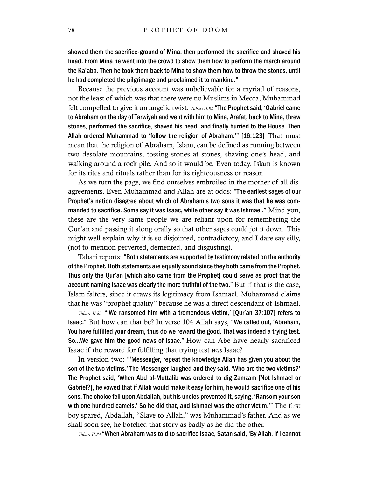showed them the sacrifice-ground of Mina, then performed the sacrifice and shaved his head. From Mina he went into the crowd to show them how to perform the march around the Ka'aba. Then he took them back to Mina to show them how to throw the stones, until he had completed the pilgrimage and proclaimed it to mankind."

Because the previous account was unbelievable for a myriad of reasons, not the least of which was that there were no Muslims in Mecca, Muhammad felt compelled to give it an angelic twist. *Tabari II:82* "The Prophet said, 'Gabriel came to Abraham on the day of Tarwiyah and went with him to Mina, Arafat, back to Mina, threw stones, performed the sacrifice, shaved his head, and finally hurried to the House. Then Allah ordered Muhammad to 'follow the religion of Abraham.'" [16:123] That must mean that the religion of Abraham, Islam, can be defined as running between two desolate mountains, tossing stones at stones, shaving one's head, and walking around a rock pile. And so it would be. Even today, Islam is known for its rites and rituals rather than for its righteousness or reason.

As we turn the page, we find ourselves embroiled in the mother of all disagreements. Even Muhammad and Allah are at odds: "The earliest sages of our Prophet's nation disagree about which of Abraham's two sons it was that he was commanded to sacrifice. Some say it was Isaac, while other say it was Ishmael." Mind you, these are the very same people we are reliant upon for remembering the Qur'an and passing it along orally so that other sages could jot it down. This might well explain why it is so disjointed, contradictory, and I dare say silly, (not to mention perverted, demented, and disgusting).

Tabari reports: "Both statements are supported by testimony related on the authority of the Prophet. Both statements are equally sound since they both came from the Prophet. Thus only the Qur'an [which also came from the Prophet] could serve as proof that the account naming Isaac was clearly the more truthful of the two." But if that is the case, Islam falters, since it draws its legitimacy from Ishmael. Muhammad claims that he was "prophet quality" because he was a direct descendant of Ishmael.

*Tabari II:83* "'We ransomed him with a tremendous victim,' [Qur'an 37:107] refers to Isaac." But how can that be? In verse 104 Allah says, "We called out, 'Abraham, You have fulfilled your dream, thus do we reward the good. That was indeed a trying test. So…We gave him the good news of Isaac." How can Abe have nearly sacrificed Isaac if the reward for fulfilling that trying test *was* Isaac?

In version two: "'Messenger, repeat the knowledge Allah has given you about the son of the two victims.' The Messenger laughed and they said, 'Who are the two victims?' The Prophet said, 'When Abd al-Muttalib was ordered to dig Zamzam [Not Ishmael or Gabriel?], he vowed that if Allah would make it easy for him, he would sacrifice one of his sons. The choice fell upon Abdallah, but his uncles prevented it, saying, 'Ransom your son with one hundred camels.' So he did that, and Ishmael was the other victim.'" The first boy spared, Abdallah, "Slave-to-Allah," was Muhammad's father. And as we shall soon see, he botched that story as badly as he did the other.

*Tabari II:84* "When Abraham was told to sacrifice Isaac, Satan said, 'By Allah, if I cannot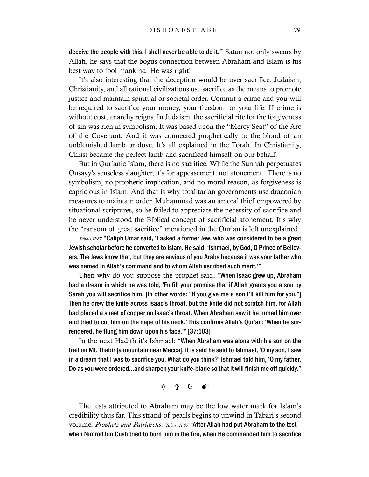deceive the people with this, I shall never be able to do it.'" Satan not only swears by Allah, he says that the bogus connection between Abraham and Islam is his best way to fool mankind. He was right!

It's also interesting that the deception would be over sacrifice. Judaism, Christianity, and all rational civilizations use sacrifice as the means to promote justice and maintain spiritual or societal order. Commit a crime and you will be required to sacrifice your money, your freedom, or your life. If crime is without cost, anarchy reigns. In Judaism, the sacrificial rite for the forgiveness of sin was rich in symbolism. It was based upon the "Mercy Seat" of the Arc of the Covenant. And it was connected prophetically to the blood of an unblemished lamb or dove. It's all explained in the Torah. In Christianity, Christ became the perfect lamb and sacrificed himself on our behalf.

But in Qur'anic Islam, there is no sacrifice. While the Sunnah perpetuates Qusayy's senseless slaughter, it's for appeasement, not atonement.. There is no symbolism, no prophetic implication, and no moral reason, as forgiveness is capricious in Islam. And that is why totalitarian governments use draconian measures to maintain order. Muhammad was an amoral thief empowered by situational scriptures, so he failed to appreciate the necessity of sacrifice and he never understood the Biblical concept of sacrificial atonement. It's why the "ransom of great sacrifice" mentioned in the Qur'an is left unexplained.

*Tabari II:87* "Caliph Umar said, 'I asked a former Jew, who was considered to be a great Jewish scholar before he converted to Islam. He said, 'Ishmael, by God, O Prince of Believers. The Jews know that, but they are envious of you Arabs because it was your father who was named in Allah's command and to whom Allah ascribed such merit.'"

Then why do you suppose the prophet said, "When Isaac grew up, Abraham had a dream in which he was told, 'Fulfill your promise that if Allah grants you a son by Sarah you will sacrifice him. [In other words: "If you give me a son I'll kill him for you."] Then he drew the knife across Isaac's throat, but the knife did not scratch him, for Allah had placed a sheet of copper on Isaac's throat. When Abraham saw it he turned him over and tried to cut him on the nape of his neck.' This confirms Allah's Qur'an: 'When he surrendered, he flung him down upon his face.'" [37:103]

In the next Hadith it's Ishmael: "When Abraham was alone with his son on the trail on Mt. Thabir [a mountain near Mecca], it is said he said to Ishmael, 'O my son, I saw in a dream that I was to sacrifice you. What do you think?' Ishmael told him, 'O my father, Do as you were ordered…and sharpen your knife-blade so that it will finish me off quickly."

 $\hat{\mathbf{x}}$   $\mathbf{h}$   $\mathbf{G}$   $\mathbf{S}^*$ 

The tests attributed to Abraham may be the low water mark for Islam's credibility thus far. This strand of pearls begins to unwind in Tabari's second volume, *Prophets and Patriarchs*: *Tabari II:97* "After Allah had put Abraham to the test when Nimrod bin Cush tried to burn him in the fire, when He commanded him to sacrifice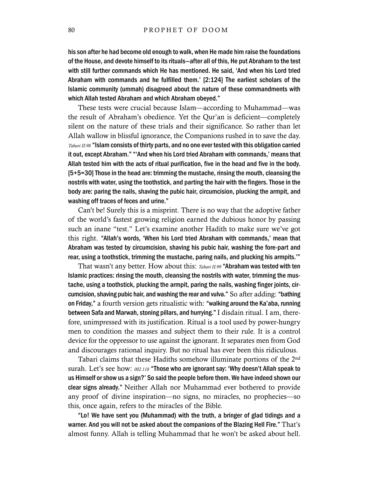his son after he had become old enough to walk, when He made him raise the foundations of the House, and devote himself to its rituals—after all of this, He put Abraham to the test with still further commands which He has mentioned. He said, 'And when his Lord tried Abraham with commands and he fulfilled them.' [2:124] The earliest scholars of the Islamic community (ummah) disagreed about the nature of these commandments with which Allah tested Abraham and which Abraham obeyed."

These tests were crucial because Islam—according to Muhammad—was the result of Abraham's obedience. Yet the Qur'an is deficient—completely silent on the nature of these trials and their significance. So rather than let Allah wallow in blissful ignorance, the Companions rushed in to save the day. *Tabari II:98* "Islam consists of thirty parts, and no one ever tested with this obligation carried it out, except Abraham." "'And when his Lord tried Abraham with commands,' means that Allah tested him with the acts of ritual purification, five in the head and five in the body. [5+5=30] Those in the head are: trimming the mustache, rinsing the mouth, cleansing the nostrils with water, using the toothstick, and parting the hair with the fingers. Those in the body are: paring the nails, shaving the pubic hair, circumcision, plucking the armpit, and washing off traces of feces and urine."

Can't be! Surely this is a misprint. There is no way that the adoptive father of the world's fastest growing religion earned the dubious honor by passing such an inane "test." Let's examine another Hadith to make sure we've got this right. "Allah's words, 'When his Lord tried Abraham with commands,' mean that Abraham was tested by circumcision, shaving his pubic hair, washing the fore-part and rear, using a toothstick, trimming the mustache, paring nails, and plucking his armpits.'"

That wasn't any better. How about this: *Tabari II:99* "Abraham was tested with ten Islamic practices: rinsing the mouth, cleansing the nostrils with water, trimming the mustache, using a toothstick, plucking the armpit, paring the nails, washing finger joints, circumcision, shaving pubic hair, and washing the rear and vulva." So after adding: "bathing on Friday," a fourth version gets ritualistic with: "walking around the Ka'aba, running between Safa and Marwah, stoning pillars, and hurrying." I disdain ritual. I am, therefore, unimpressed with its justification. Ritual is a tool used by power-hungry men to condition the masses and subject them to their rule. It is a control device for the oppressor to use against the ignorant. It separates men from God and discourages rational inquiry. But no ritual has ever been this ridiculous.

Tabari claims that these Hadiths somehow illuminate portions of the 2nd surah. Let's see how: *002.118* "Those who are ignorant say: 'Why doesn't Allah speak to us Himself or show us a sign?' So said the people before them. We have indeed shown our clear signs already." Neither Allah nor Muhammad ever bothered to provide any proof of divine inspiration—no signs, no miracles, no prophecies—so this, once again, refers to the miracles of the Bible.

"Lo! We have sent you (Muhammad) with the truth, a bringer of glad tidings and a warner. And you will not be asked about the companions of the Blazing Hell Fire." That's almost funny. Allah is telling Muhammad that he won't be asked about hell.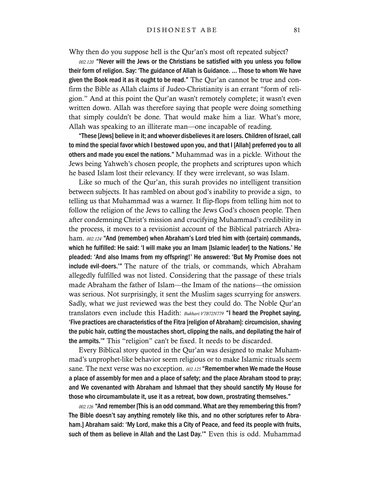Why then do you suppose hell is the Qur'an's most oft repeated subject?

*002.120* "Never will the Jews or the Christians be satisfied with you unless you follow their form of religion. Say: 'The guidance of Allah is Guidance. … Those to whom We have given the Book read it as it ought to be read." The Qur'an cannot be true and confirm the Bible as Allah claims if Judeo-Christianity is an errant "form of religion." And at this point the Qur'an wasn't remotely complete; it wasn't even written down. Allah was therefore saying that people were doing something that simply couldn't be done. That would make him a liar. What's more, Allah was speaking to an illiterate man—one incapable of reading.

"These [Jews] believe in it; and whoever disbelieves it are losers. Children of Israel, call to mind the special favor which I bestowed upon you, and that I [Allah] preferred you to all others and made you excel the nations." Muhammad was in a pickle. Without the Jews being Yahweh's chosen people, the prophets and scriptures upon which he based Islam lost their relevancy. If they were irrelevant, so was Islam.

Like so much of the Qur'an, this surah provides no intelligent transition between subjects. It has rambled on about god's inability to provide a sign, to telling us that Muhammad was a warner. It flip-flops from telling him not to follow the religion of the Jews to calling the Jews God's chosen people. Then after condemning Christ's mission and crucifying Muhammad's credibility in the process, it moves to a revisionist account of the Biblical patriarch Abraham. *002.124* "And (remember) when Abraham's Lord tried him with (certain) commands, which he fulfilled: He said: 'I will make you an Imam [Islamic leader] to the Nations.' He pleaded: 'And also Imams from my offspring!' He answered: 'But My Promise does not include evil-doers.'" The nature of the trials, or commands, which Abraham allegedly fulfilled was not listed. Considering that the passage of these trials made Abraham the father of Islam—the Imam of the nations—the omission was serious. Not surprisingly, it sent the Muslim sages scurrying for answers. Sadly, what we just reviewed was the best they could do. The Noble Qur'an translators even include this Hadith: *Bukhari:V7B72N779* "I heard the Prophet saying, 'Five practices are characteristics of the Fitra [religion of Abraham]: circumcision, shaving the pubic hair, cutting the moustaches short, clipping the nails, and depilating the hair of the armpits.'" This "religion" can't be fixed. It needs to be discarded.

Every Biblical story quoted in the Qur'an was designed to make Muhammad's unprophet-like behavior seem religious or to make Islamic rituals seem sane. The next verse was no exception. *002.125* "Remember when We made the House a place of assembly for men and a place of safety; and the place Abraham stood to pray; and We covenanted with Abraham and Ishmael that they should sanctify My House for those who circumambulate it, use it as a retreat, bow down, prostrating themselves."

*002.126* "And remember [This is an odd command. What are they remembering this from? The Bible doesn't say anything remotely like this, and no other scriptures refer to Abraham.] Abraham said: 'My Lord, make this a City of Peace, and feed its people with fruits, such of them as believe in Allah and the Last Day.'" Even this is odd. Muhammad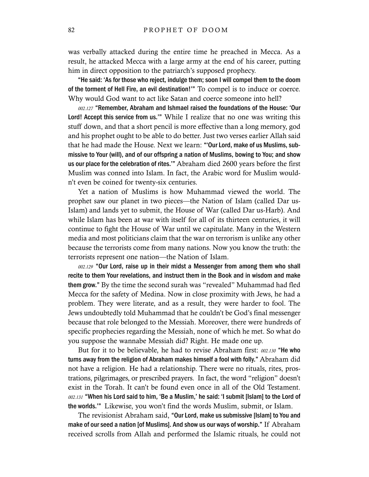was verbally attacked during the entire time he preached in Mecca. As a result, he attacked Mecca with a large army at the end of his career, putting him in direct opposition to the patriarch's supposed prophecy.

"He said: 'As for those who reject, indulge them; soon I will compel them to the doom of the torment of Hell Fire, an evil destination!'" To compel is to induce or coerce. Why would God want to act like Satan and coerce someone into hell?

*002.127* "Remember, Abraham and Ishmael raised the foundations of the House: 'Our Lord! Accept this service from us.'" While I realize that no one was writing this stuff down, and that a short pencil is more effective than a long memory, god and his prophet ought to be able to do better. Just two verses earlier Allah said that he had made the House. Next we learn: "'Our Lord, make of us Muslims, submissive to Your (will), and of our offspring a nation of Muslims, bowing to You; and show us our place for the celebration of rites.'" Abraham died 2600 years before the first Muslim was conned into Islam. In fact, the Arabic word for Muslim wouldn't even be coined for twenty-six centuries.

Yet a nation of Muslims is how Muhammad viewed the world. The prophet saw our planet in two pieces—the Nation of Islam (called Dar us-Islam) and lands yet to submit, the House of War (called Dar us-Harb). And while Islam has been at war with itself for all of its thirteen centuries, it will continue to fight the House of War until we capitulate. Many in the Western media and most politicians claim that the war on terrorism is unlike any other because the terrorists come from many nations. Now you know the truth: the terrorists represent one nation—the Nation of Islam.

*002.129* "Our Lord, raise up in their midst a Messenger from among them who shall recite to them Your revelations, and instruct them in the Book and in wisdom and make them grow." By the time the second surah was "revealed" Muhammad had fled Mecca for the safety of Medina. Now in close proximity with Jews, he had a problem. They were literate, and as a result, they were harder to fool. The Jews undoubtedly told Muhammad that he couldn't be God's final messenger because that role belonged to the Messiah. Moreover, there were hundreds of specific prophecies regarding the Messiah, none of which he met. So what do you suppose the wannabe Messiah did? Right. He made one up.

But for it to be believable, he had to revise Abraham first: *002.130* "He who turns away from the religion of Abraham makes himself a fool with folly." Abraham did not have a religion. He had a relationship. There were no rituals, rites, prostrations, pilgrimages, or prescribed prayers. In fact, the word "religion" doesn't exist in the Torah. It can't be found even once in all of the Old Testament. *002.131* "When his Lord said to him, 'Be a Muslim,' he said: 'I submit [Islam] to the Lord of the worlds.'" Likewise, you won't find the words Muslim, submit, or Islam.

The revisionist Abraham said, "Our Lord, make us submissive [Islam] to You and make of our seed a nation [of Muslims]. And show us our ways of worship." If Abraham received scrolls from Allah and performed the Islamic rituals, he could not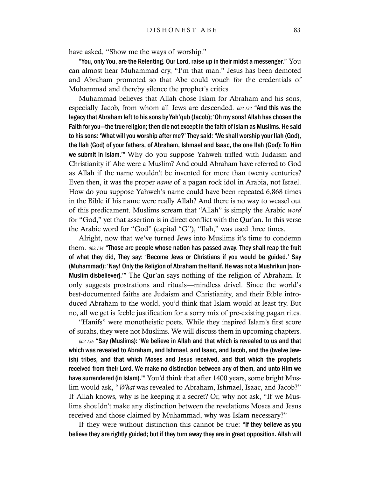have asked, "Show me the ways of worship."

"You, only You, are the Relenting. Our Lord, raise up in their midst a messenger." You can almost hear Muhammad cry, "I'm that man." Jesus has been demoted and Abraham promoted so that Abe could vouch for the credentials of Muhammad and thereby silence the prophet's critics.

Muhammad believes that Allah chose Islam for Abraham and his sons, especially Jacob, from whom all Jews are descended. *002.132* "And this was the legacy that Abraham left to his sons by Yah'qub (Jacob); 'Oh my sons! Allah has chosen the Faith for you—the true religion; then die not except in the faith of Islam as Muslims. He said to his sons: 'What will you worship after me?' They said: 'We shall worship your Ilah (God), the Ilah (God) of your fathers, of Abraham, Ishmael and Isaac, the one Ilah (God): To Him we submit in Islam.'" Why do you suppose Yahweh trifled with Judaism and Christianity if Abe were a Muslim? And could Abraham have referred to God as Allah if the name wouldn't be invented for more than twenty centuries? Even then, it was the proper *name* of a pagan rock idol in Arabia, not Israel. How do you suppose Yahweh's name could have been repeated 6,868 times in the Bible if his name were really Allah? And there is no way to weasel out of this predicament. Muslims scream that "Allah" is simply the Arabic *word* for "God," yet that assertion is in direct conflict with the Qur'an. In this verse the Arabic word for "God" (capital "G"), "Ilah," was used three times.

Alright, now that we've turned Jews into Muslims it's time to condemn them. *002.134* "Those are people whose nation has passed away. They shall reap the fruit of what they did, They say: 'Become Jews or Christians if you would be guided.' Say (Muhammad): 'Nay! Only the Religion of Abraham the Hanif. He was not a Mushrikun [non-Muslim disbeliever].'" The Qur'an says nothing of the religion of Abraham. It only suggests prostrations and rituals—mindless drivel. Since the world's best-documented faiths are Judaism and Christianity, and their Bible introduced Abraham to the world, you'd think that Islam would at least try. But no, all we get is feeble justification for a sorry mix of pre-existing pagan rites.

"Hanifs" were monotheistic poets. While they inspired Islam's first score of surahs, they were not Muslims. We will discuss them in upcoming chapters.

*002.136* "Say (Muslims): 'We believe in Allah and that which is revealed to us and that which was revealed to Abraham, and Ishmael, and Isaac, and Jacob, and the (twelve Jewish) tribes, and that which Moses and Jesus received, and that which the prophets received from their Lord. We make no distinction between any of them, and unto Him we have surrendered (in Islam)." You'd think that after 1400 years, some bright Muslim would ask, "*What* was revealed to Abraham, Ishmael, Isaac, and Jacob?" If Allah knows, why is he keeping it a secret? Or, why not ask, "If we Muslims shouldn't make any distinction between the revelations Moses and Jesus received and those claimed by Muhammad, why was Islam necessary?"

If they were without distinction this cannot be true: "If they believe as you believe they are rightly guided; but if they turn away they are in great opposition. Allah will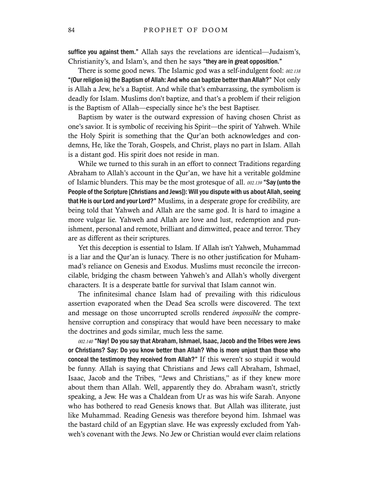suffice you against them." Allah says the revelations are identical—Judaism's, Christianity's, and Islam's, and then he says "they are in great opposition."

There is some good news. The Islamic god was a self-indulgent fool: *002.138* "(Our religion is) the Baptism of Allah: And who can baptize better than Allah?" Not only is Allah a Jew, he's a Baptist. And while that's embarrassing, the symbolism is deadly for Islam. Muslims don't baptize, and that's a problem if their religion is the Baptism of Allah—especially since he's the best Baptiser.

Baptism by water is the outward expression of having chosen Christ as one's savior. It is symbolic of receiving his Spirit—the spirit of Yahweh. While the Holy Spirit is something that the Qur'an both acknowledges and condemns, He, like the Torah, Gospels, and Christ, plays no part in Islam. Allah is a distant god. His spirit does not reside in man.

While we turned to this surah in an effort to connect Traditions regarding Abraham to Allah's account in the Qur'an, we have hit a veritable goldmine of Islamic blunders. This may be the most grotesque of all. *002.139* "Say (unto the People of the Scripture [Christians and Jews]): Will you dispute with us about Allah, seeing that He is our Lord and your Lord?" Muslims, in a desperate grope for credibility, are being told that Yahweh and Allah are the same god. It is hard to imagine a more vulgar lie. Yahweh and Allah are love and lust, redemption and punishment, personal and remote, brilliant and dimwitted, peace and terror. They are as different as their scriptures.

Yet this deception is essential to Islam. If Allah isn't Yahweh, Muhammad is a liar and the Qur'an is lunacy. There is no other justification for Muhammad's reliance on Genesis and Exodus. Muslims must reconcile the irreconcilable, bridging the chasm between Yahweh's and Allah's wholly divergent characters. It is a desperate battle for survival that Islam cannot win.

The infinitesimal chance Islam had of prevailing with this ridiculous assertion evaporated when the Dead Sea scrolls were discovered. The text and message on those uncorrupted scrolls rendered *impossible* the comprehensive corruption and conspiracy that would have been necessary to make the doctrines and gods similar, much less the same.

*002.140* "Nay! Do you say that Abraham, Ishmael, Isaac, Jacob and the Tribes were Jews or Christians? Say: Do you know better than Allah? Who is more unjust than those who conceal the testimony they received from Allah?" If this weren't so stupid it would be funny. Allah is saying that Christians and Jews call Abraham, Ishmael, Isaac, Jacob and the Tribes, "Jews and Christians," as if they knew more about them than Allah. Well, apparently they do. Abraham wasn't, strictly speaking, a Jew. He was a Chaldean from Ur as was his wife Sarah. Anyone who has bothered to read Genesis knows that. But Allah was illiterate, just like Muhammad. Reading Genesis was therefore beyond him. Ishmael was the bastard child of an Egyptian slave. He was expressly excluded from Yahweh's covenant with the Jews. No Jew or Christian would ever claim relations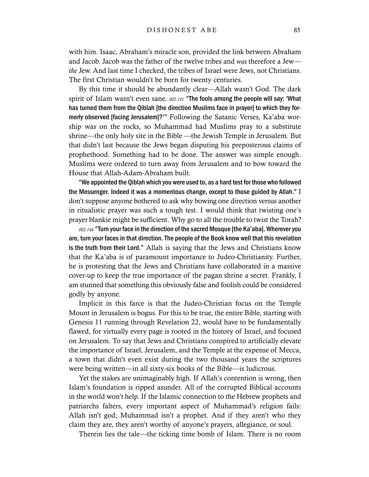with him. Isaac, Abraham's miracle son, provided the link between Abraham and Jacob. Jacob was the father of the twelve tribes and *was* therefore a Jew *the* Jew. And last time I checked, the tribes of Israel were Jews, not Christians. The first Christian wouldn't be born for twenty centuries.

By this time it should be abundantly clear—Allah wasn't God. The dark spirit of Islam wasn't even sane. *002.141* "The fools among the people will say: 'What has turned them from the Qiblah [the direction Muslims face in prayer] to which they formerly observed [facing Jerusalem]?'" Following the Satanic Verses, Ka'aba worship was on the rocks, so Muhammad had Muslims pray to a substitute shrine—the only holy site in the Bible —the Jewish Temple in Jerusalem. But that didn't last because the Jews began disputing his preposterous claims of prophethood. Something had to be done. The answer was simple enough. Muslims were ordered to turn away from Jerusalem and to bow toward the House that Allah-Adam-Abraham built.

"We appointed the Qiblah which you were used to, as a hard test for those who followed the Messenger. Indeed it was a momentous change, except to those guided by Allah." I don't suppose anyone bothered to ask why bowing one direction versus another in ritualistic prayer was such a tough test. I would think that twisting one's prayer blankie might be sufficient. Why go to all the trouble to twist the Torah?

*002.144* "Turn your face in the direction of the sacred Mosque [the Ka'aba]. Wherever you are, turn your faces in that direction. The people of the Book know well that this revelation is the truth from their Lord." Allah is saying that the Jews and Christians know that the Ka'aba is of paramount importance to Judeo-Christianity. Further, he is protesting that the Jews and Christians have collaborated in a massive cover-up to keep the true importance of the pagan shrine a secret. Frankly, I am stunned that something this obviously false and foolish could be considered godly by anyone.

Implicit in this farce is that the Judeo-Christian focus on the Temple Mount in Jerusalem is bogus. For this to be true, the entire Bible, starting with Genesis 11 running through Revelation 22, would have to be fundamentally flawed, for virtually every page is rooted in the history of Israel, and focused on Jerusalem. To say that Jews and Christians conspired to artificially elevate the importance of Israel, Jerusalem, and the Temple at the expense of Mecca, a town that didn't even exist during the two thousand years the scriptures were being written—in all sixty-six books of the Bible—is ludicrous.

Yet the stakes are unimaginably high. If Allah's contention is wrong, then Islam's foundation is ripped asunder. All of the corrupted Biblical accounts in the world won't help. If the Islamic connection to the Hebrew prophets and patriarchs falters, every important aspect of Muhammad's religion fails: Allah isn't god; Muhammad isn't a prophet. And if they aren't who they claim they are, they aren't worthy of anyone's prayers, allegiance, or soul.

Therein lies the tale—the ticking time bomb of Islam. There is no room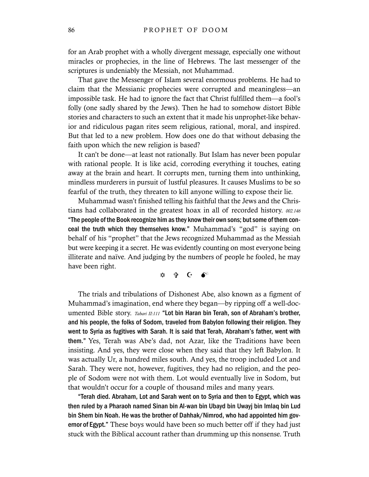for an Arab prophet with a wholly divergent message, especially one without miracles or prophecies, in the line of Hebrews. The last messenger of the scriptures is undeniably the Messiah, not Muhammad.

That gave the Messenger of Islam several enormous problems. He had to claim that the Messianic prophecies were corrupted and meaningless—an impossible task. He had to ignore the fact that Christ fulfilled them—a fool's folly (one sadly shared by the Jews). Then he had to somehow distort Bible stories and characters to such an extent that it made his unprophet-like behavior and ridiculous pagan rites seem religious, rational, moral, and inspired. But that led to a new problem. How does one do that without debasing the faith upon which the new religion is based?

It can't be done—at least not rationally. But Islam has never been popular with rational people. It is like acid, corroding everything it touches, eating away at the brain and heart. It corrupts men, turning them into unthinking, mindless murderers in pursuit of lustful pleasures. It causes Muslims to be so fearful of the truth, they threaten to kill anyone willing to expose their lie.

Muhammad wasn't finished telling his faithful that the Jews and the Christians had collaborated in the greatest hoax in all of recorded history. *002.146* "The people of the Book recognize him as they know their own sons; but some of them conceal the truth which they themselves know." Muhammad's "god" is saying on behalf of his "prophet" that the Jews recognized Muhammad as the Messiah but were keeping it a secret. He was evidently counting on most everyone being illiterate and naïve. And judging by the numbers of people he fooled, he may have been right.

@ = A 0

The trials and tribulations of Dishonest Abe, also known as a figment of Muhammad's imagination, end where they began—by ripping off a well-documented Bible story. *Tabari II:111* "Lot bin Haran bin Terah, son of Abraham's brother, and his people, the folks of Sodom, traveled from Babylon following their religion. They went to Syria as fugitives with Sarah. It is said that Terah, Abraham's father, went with them." Yes, Terah was Abe's dad, not Azar, like the Traditions have been insisting. And yes, they were close when they said that they left Babylon. It was actually Ur, a hundred miles south. And yes, the troop included Lot and Sarah. They were not, however, fugitives, they had no religion, and the people of Sodom were not with them. Lot would eventually live in Sodom, but that wouldn't occur for a couple of thousand miles and many years.

"Terah died. Abraham, Lot and Sarah went on to Syria and then to Egypt, which was then ruled by a Pharaoh named Sinan bin Al-wan bin Ubayd bin Uwayj bin Imlaq bin Lud bin Shem bin Noah. He was the brother of Dahhak/Nimrod, who had appointed him governor of Egypt." These boys would have been so much better off if they had just stuck with the Biblical account rather than drumming up this nonsense. Truth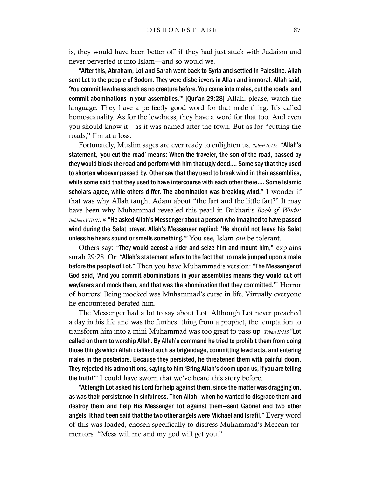is, they would have been better off if they had just stuck with Judaism and never perverted it into Islam—and so would we.

"After this, Abraham, Lot and Sarah went back to Syria and settled in Palestine. Allah sent Lot to the people of Sodom. They were disbelievers in Allah and immoral. Allah said, 'You commit lewdness such as no creature before. You come into males, cut the roads, and commit abominations in your assemblies.'" [Qur'an 29:28] Allah, please, watch the language. They have a perfectly good word for that male thing. It's called homosexuality. As for the lewdness, they have a word for that too. And even you should know it—as it was named after the town. But as for "cutting the roads," I'm at a loss.

Fortunately, Muslim sages are ever ready to enlighten us. *Tabari II:112* "Allah's statement, 'you cut the road' means: When the traveler, the son of the road, passed by they would block the road and perform with him that ugly deed.... Some say that they used to shorten whoever passed by. Other say that they used to break wind in their assemblies, while some said that they used to have intercourse with each other there.... Some Islamic scholars agree, while others differ. The abomination was breaking wind." I wonder if that was why Allah taught Adam about "the fart and the little fart?" It may have been why Muhammad revealed this pearl in Bukhari's *Book of Wudu: Bukhari:V1B4N139* "He asked Allah's Messenger about a person who imagined to have passed wind during the Salat prayer. Allah's Messenger replied: 'He should not leave his Salat unless he hears sound or smells something.'" You see, Islam *can* be tolerant.

Others say: "They would accost a rider and seize him and mount him," explains surah 29:28. Or: "Allah's statement refers to the fact that no male jumped upon a male before the people of Lot." Then you have Muhammad's version: "The Messenger of God said, 'And you commit abominations in your assemblies means they would cut off wayfarers and mock them, and that was the abomination that they committed.'" Horror of horrors! Being mocked was Muhammad's curse in life. Virtually everyone he encountered berated him.

The Messenger had a lot to say about Lot. Although Lot never preached a day in his life and was the furthest thing from a prophet, the temptation to transform him into a mini-Muhammad was too great to pass up. *Tabari II:115* "Lot called on them to worship Allah. By Allah's command he tried to prohibit them from doing those things which Allah disliked such as brigandage, committing lewd acts, and entering males in the posteriors. Because they persisted, he threatened them with painful doom. They rejected his admonitions, saying to him 'Bring Allah's doom upon us, if you are telling the truth!'" I could have sworn that we've heard this story before.

"At length Lot asked his Lord for help against them, since the matter was dragging on, as was their persistence in sinfulness. Then Allah—when he wanted to disgrace them and destroy them and help His Messenger Lot against them—sent Gabriel and two other angels. It had been said that the two other angels were Michael and Israfil." Every word of this was loaded, chosen specifically to distress Muhammad's Meccan tormentors. "Mess will me and my god will get you."